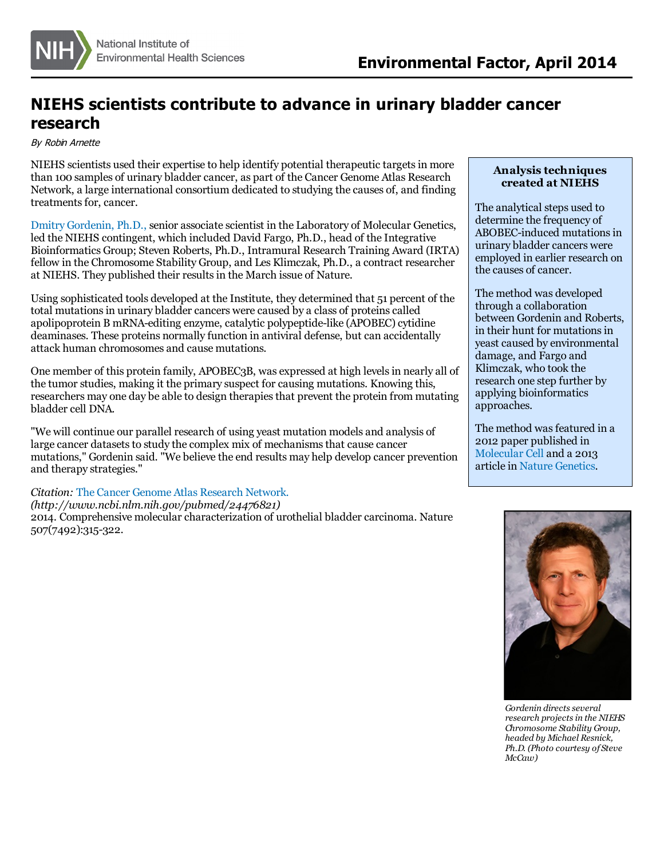

## **NIEHS scientists contribute to advance in urinary bladder cancer research**

By Robin Arnette

NIEHS scientists used their expertise to help identify potential therapeutic targetsin more than 100 samples of urinary bladder cancer, as part of the Cancer Genome Atlas Research Network, a large international consortium dedicated to studying the causes of, and finding treatments for, cancer.

Dmitry [Gordenin,](http://www.niehs.nih.gov/research/atniehs/labs/lmg/cs/staff/gordenin/index.cfm) Ph.D[.,](http://www.niehs.nih.gov/research/atniehs/labs/lmg/cs/staff/gordenin/index.cfm) senior associate scientist in the Laboratory of Molecular Genetics, led the NIEHS contingent, which included David Fargo, Ph.D., head of the Integrative Bioinformatics Group; Steven Roberts, Ph.D., Intramural Research Training Award (IRTA) fellow in the Chromosome Stability Group, and Les Klimczak, Ph.D., a contract researcher at NIEHS. They published their results in the March issue of Nature.

Using sophisticated tools developed at the Institute, they determined that 51 percent of the total mutations in urinary bladder cancers were caused by a class of proteins called apolipoprotein B mRNA-editing enzyme, catalytic polypeptide-like (APOBEC) cytidine deaminases. These proteins normally function in antiviral defense, but can accidentally attack human chromosomes and cause mutations.

One member of this protein family, APOBEC3B, was expressed at high levelsin nearly all of the tumor studies, making it the primary suspect forcausing mutations. Knowing this, researchers may one day be able to design therapiesthat prevent the protein from mutating bladder cell DNA.

"We will continue our parallel research of using yeast mutation models and analysis of large cancer datasets to study the complex mix of mechanisms that cause cancer mutations," Gordenin said. "We believe the end results may help develop cancer prevention and therapy strategies."

*Citation:* The Cancer Genome Atlas [Research](http://www.ncbi.nlm.nih.gov/pubmed/24476821) Network.

*(http://www.ncbi.nlm.nih.gov/pubmed/24476821)*

2014. Comprehensive molecular characterization of urothelial bladder carcinoma. Nature 507(7492):315-322.

## **Analysis techniques created at NIEHS**

The analytical steps used to determine the frequency of ABOBEC-induced mutations in urinary bladder cancers were employed in earlier research on the causes of cancer.

The method was developed through a collaboration between Gordenin and Roberts, in their hunt for mutations in yeast caused by environmental damage, and Fargo and Klimczak, who took the research one step further by applying bioinformatics approaches.

The method was featured in a 2012 paper published in [Molecular](http://www.niehs.nih.gov/news/newsletter/2012/6/science-celldamage/index.htm) Cell and a 2013 article in Nature [Genetics](http://www.niehs.nih.gov/news/newsletter/2013/8/science-cancer/index.htm).



*Gordenin directsseveral research projectsin the NIEHS Chromosome Stability Group, headed by Michael Resnick, Ph.D. (Photo courtesy of Steve McCaw)*